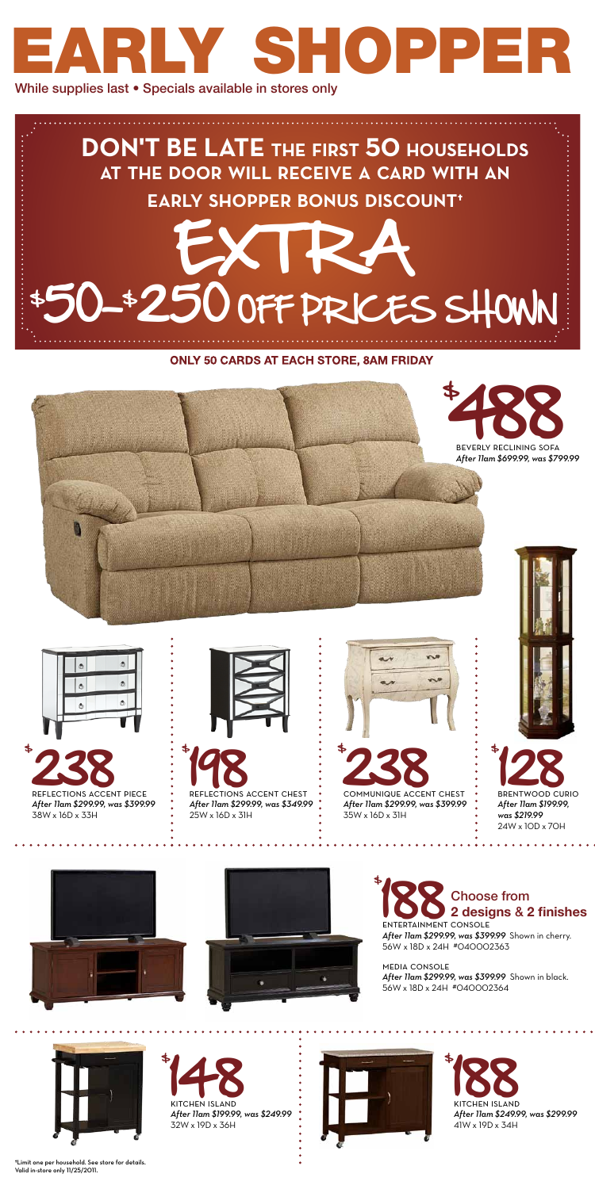

















## ENTERTAINMENT CONSOLE Choose from **2 designs** & **2 finishes**

*After 11am \$699.99, was \$799.99*





\$

EXTRA \$ 50-\$ 250 OFF PRICES SHOWN **DON'T BE LATE the first 50 households at the door will receive <sup>a</sup> card with an early shopper bonus discount†**

> *After 11am \$299.99, was \$399.99* Shown in cherry. 56W x 18D x 24H #040002363

media console *After 11am \$299.99, was \$399.99* Shown in black. 56W x 18D x 24H #040002364



\$ **188** *After 11am \$249.99, was \$299.99* 41W x 19D x 34H







## **ONLY 50 CARDS AT EACH STORE, 8AM FRIDAY**

†Limit one per household. See store for details. Valid in-store only 11/25/2011.